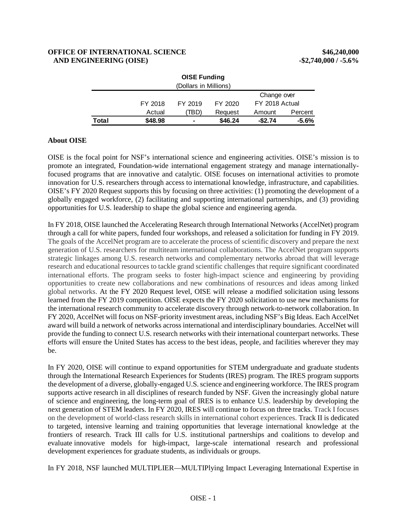## **OFFICE OF INTERNATIONAL SCIENCE** \$46,240,000<br>
AND ENGINEERING (OISE) 5.6% **AND ENGINEERING** (OISE)

|                       |         | <b>OISE Funding</b> |         |                |          |  |
|-----------------------|---------|---------------------|---------|----------------|----------|--|
| (Dollars in Millions) |         |                     |         |                |          |  |
|                       |         | Change over         |         |                |          |  |
|                       | FY 2018 | FY 2019             | FY 2020 | FY 2018 Actual |          |  |
|                       | Actual  | TBD)                | Request | Amount         | Percent  |  |
| Total                 | \$48.98 | $\blacksquare$      | \$46.24 | $-$2.74$       | $-5.6\%$ |  |

#### **About OISE**

OISE is the focal point for NSF's international science and engineering activities. OISE's mission is to promote an integrated, Foundation-wide international engagement strategy and manage internationallyfocused programs that are innovative and catalytic. OISE focuses on international activities to promote innovation for U.S. researchers through access to international knowledge, infrastructure, and capabilities. OISE's FY 2020 Request supports this by focusing on three activities: (1) promoting the development of a globally engaged workforce, (2) facilitating and supporting international partnerships, and (3) providing opportunities for U.S. leadership to shape the global science and engineering agenda.

In FY 2018, OISE launched the Accelerating Research through International Networks (AccelNet) program through a call for white papers, funded four workshops, and released a solicitation for funding in FY 2019. The goals of the AccelNet program are to accelerate the process of scientific discovery and prepare the next generation of U.S. researchers for multiteam international collaborations. The AccelNet program supports strategic linkages among U.S. research networks and complementary networks abroad that will leverage research and educational resources to tackle grand scientific challenges that require significant coordinated international efforts. The program seeks to foster high-impact science and engineering by providing opportunities to create new collaborations and new combinations of resources and ideas among linked global networks. At the FY 2020 Request level, OISE will release a modified solicitation using lessons learned from the FY 2019 competition. OISE expects the FY 2020 solicitation to use new mechanisms for the international research community to accelerate discovery through network-to-network collaboration. In FY 2020, AccelNet will focus on NSF-priority investment areas, including NSF's Big Ideas. Each AccelNet award will build a network of networks across international and interdisciplinary boundaries. AccelNet will provide the funding to connect U.S. research networks with their international counterpart networks. These efforts will ensure the United States has access to the best ideas, people, and facilities wherever they may be.

In FY 2020, OISE will continue to expand opportunities for STEM undergraduate and graduate students through the International Research Experiences for Students (IRES) program. The IRES program supports the development of a diverse, globally-engaged U.S. science and engineering workforce. The IRES program supports active research in all disciplines of research funded by NSF. Given the increasingly global nature of science and engineering, the long-term goal of IRES is to enhance U.S. leadership by developing the next generation of STEM leaders. In FY 2020, IRES will continue to focus on three tracks. Track I focuses on the development of world-class research skills in international cohort experiences. Track II is dedicated to targeted, intensive learning and training opportunities that leverage international knowledge at the frontiers of research. Track III calls for U.S. institutional partnerships and coalitions to develop and evaluate innovative models for high-impact, large-scale international research and professional development experiences for graduate students, as individuals or groups.

In FY 2018, NSF launched MULTIPLIER—MULTIPlying Impact Leveraging International Expertise in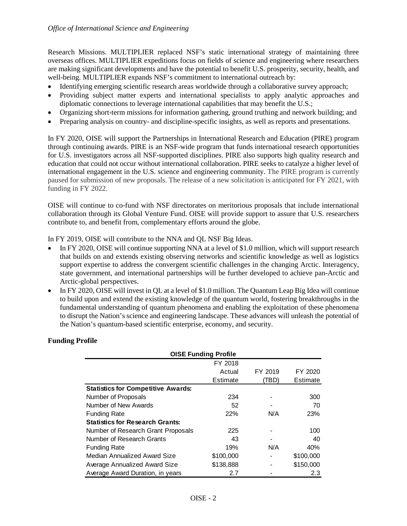Research Missions. MULTIPLIER replaced NSF's static international strategy of maintaining three overseas offices. MULTIPLIER expeditions focus on fields of science and engineering where researchers are making significant developments and have the potential to benefit U.S. prosperity, security, health, and well-being. MULTIPLIER expands NSF's commitment to international outreach by:

- Identifying emerging scientific research areas worldwide through a collaborative survey approach;
- Providing subject matter experts and international specialists to apply analytic approaches and diplomatic connections to leverage international capabilities that may benefit the U.S.;
- Organizing short-term missions for information gathering, ground truthing and network building; and
- Preparing analysis on country- and discipline-specific insights, as well as reports and presentations.

In FY 2020, OISE will support the Partnerships in International Research and Education (PIRE) program through continuing awards. PIRE is an NSF-wide program that funds international research opportunities for U.S. investigators across all NSF-supported disciplines. PIRE also supports high quality research and education that could not occur without international collaboration. PIRE seeks to catalyze a higher level of international engagement in the U.S. science and engineering community. The PIRE program is currently paused for submission of new proposals. The release of a new solicitation is anticipated for FY 2021, with funding in FY 2022.

OISE will continue to co-fund with NSF directorates on meritorious proposals that include international collaboration through its Global Venture Fund. OISE will provide support to assure that U.S. researchers contribute to, and benefit from, complementary efforts around the globe.

In FY 2019, OISE will contribute to the NNA and QL NSF Big Ideas.

- In FY 2020, OISE will continue supporting NNA at a level of \$1.0 million, which will support research that builds on and extends existing observing networks and scientific knowledge as well as logistics support expertise to address the convergent scientific challenges in the changing Arctic. Interagency, state government, and international partnerships will be further developed to achieve pan-Arctic and Arctic-global perspectives.
- In FY 2020, OISE will invest in QL at a level of \$1.0 million. The Quantum Leap Big Idea will continue to build upon and extend the existing knowledge of the quantum world, fostering breakthroughs in the fundamental understanding of quantum phenomena and enabling the exploitation of these phenomena to disrupt the Nation's science and engineering landscape. These advances will unleash the potential of the Nation's quantum-based scientific enterprise, economy, and security.

# **Funding Profile**

| <b>OISE Funding Profile</b>               |           |         |           |  |  |  |
|-------------------------------------------|-----------|---------|-----------|--|--|--|
|                                           | FY 2018   |         |           |  |  |  |
|                                           | Actual    | FY 2019 | FY 2020   |  |  |  |
|                                           | Estimate  | (TBD)   | Estimate  |  |  |  |
| <b>Statistics for Competitive Awards:</b> |           |         |           |  |  |  |
| Number of Proposals                       | 234       |         | 300       |  |  |  |
| Number of New Awards                      | 52        |         | 70        |  |  |  |
| <b>Funding Rate</b>                       | 22%       | N/A     | 23%       |  |  |  |
| <b>Statistics for Research Grants:</b>    |           |         |           |  |  |  |
| Number of Research Grant Proposals        | 225       |         | 100       |  |  |  |
| Number of Research Grants                 | 43        |         | 40        |  |  |  |
| <b>Funding Rate</b>                       | 19%       | N/A     | 40%       |  |  |  |
| Median Annualized Award Size              | \$100,000 |         | \$100,000 |  |  |  |
| Average Annualized Award Size             | \$138,888 |         | \$150,000 |  |  |  |
| Average Award Duration, in years          | 2.7       |         | 2.3       |  |  |  |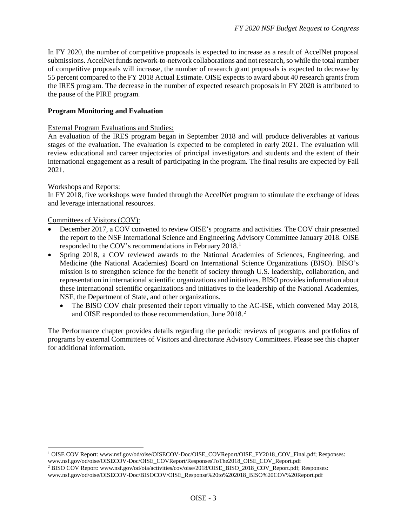In FY 2020, the number of competitive proposals is expected to increase as a result of AccelNet proposal submissions. AccelNet funds network-to-network collaborations and not research, so while the total number of competitive proposals will increase, the number of research grant proposals is expected to decrease by 55 percent compared to the FY 2018 Actual Estimate. OISE expects to award about 40 research grants from the IRES program. The decrease in the number of expected research proposals in FY 2020 is attributed to the pause of the PIRE program.

## **Program Monitoring and Evaluation**

#### External Program Evaluations and Studies:

An evaluation of the IRES program began in September 2018 and will produce deliverables at various stages of the evaluation. The evaluation is expected to be completed in early 2021. The evaluation will review educational and career trajectories of principal investigators and students and the extent of their international engagement as a result of participating in the program. The final results are expected by Fall 2021.

#### Workshops and Reports:

In FY 2018, five workshops were funded through the AccelNet program to stimulate the exchange of ideas and leverage international resources.

#### Committees of Visitors (COV):

- December 2017, a COV convened to review OISE's programs and activities. The COV chair presented the report to the NSF International Science and Engineering Advisory Committee January 2018. OISE responded to the COV's recommendations in February 2018. [1](#page-2-0)
- Spring 2018, a COV reviewed awards to the National Academies of Sciences, Engineering, and Medicine (the National Academies) Board on International Science Organizations (BISO). BISO's mission is to strengthen science for the benefit of society through U.S. leadership, collaboration, and representation in international scientific organizations and initiatives. BISO provides information about these international scientific organizations and initiatives to the leadership of the National Academies, NSF, the [Department of](http://www.state.gov/) State, and other organizations.
	- The BISO COV chair presented their report virtually to the AC-ISE, which convened May 2018, and OISE responded to those recommendation, June 2018. [2](#page-2-1)

The Performance chapter provides details regarding the periodic reviews of programs and portfolios of programs by external Committees of Visitors and directorate Advisory Committees. Please see this chapter for additional information.

<span id="page-2-1"></span><span id="page-2-0"></span><sup>&</sup>lt;sup>1</sup> OISE COV Report: [www.nsf.gov/od/oise/OISECOV-Doc/OISE\\_COVReport/OISE\\_FY2018\\_COV\\_Final.pdf;](http://www.nsf.gov/od/oise/OISECOV-Doc/OISE_COVReport/OISE_FY2018_COV_Final.pdf) Responses: www.nsf.gov/od/oise/OISECOV-Doc/OISE\_COVReport/ResponsesToThe2018\_OISE\_COV\_Report.pdf <sup>2</sup> BISO COV Report[: www.nsf.gov/od/oia/activities/cov/oise/2018/OISE\\_BISO\\_2018\\_COV\\_Report.pdf;](file://ad.nsf.gov/NSF/Divisions/BUDGET/FY%202020%20Budget%20Cycle/FY%202020%20Congressional%20Request/Dir-Office%20Submissions/OISE/www.nsf.gov/od/oia/activities/cov/oise/2018/OISE_BISO_2018_COV_Report.pdf) Responses: www.nsf.gov/od/oise/OISECOV-Doc/BISOCOV/OISE\_Response%20to%202018\_BISO%20COV%20Report.pdf